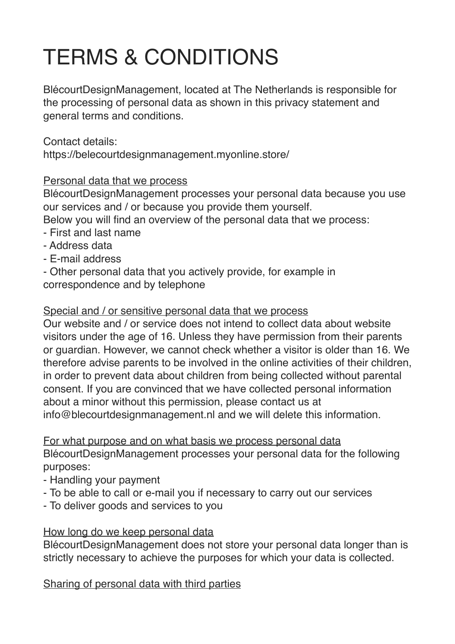# TERMS & CONDITIONS

BlécourtDesignManagement, located at The Netherlands is responsible for the processing of personal data as shown in this privacy statement and general terms and conditions.

Contact details: https://belecourtdesignmanagement.myonline.store/

# Personal data that we process

BlécourtDesignManagement processes your personal data because you use our services and / or because you provide them yourself.

Below you will find an overview of the personal data that we process:

- First and last name
- Address data
- E-mail address

- Other personal data that you actively provide, for example in correspondence and by telephone

# Special and / or sensitive personal data that we process

Our website and / or service does not intend to collect data about website visitors under the age of 16. Unless they have permission from their parents or guardian. However, we cannot check whether a visitor is older than 16. We therefore advise parents to be involved in the online activities of their children, in order to prevent data about children from being collected without parental consent. If you are convinced that we have collected personal information about a minor without this permission, please contact us at info@blecourtdesignmanagement.nl and we will delete this information.

For what purpose and on what basis we process personal data BlécourtDesignManagement processes your personal data for the following purposes:

- Handling your payment
- To be able to call or e-mail you if necessary to carry out our services
- To deliver goods and services to you

#### How long do we keep personal data

BlécourtDesignManagement does not store your personal data longer than is strictly necessary to achieve the purposes for which your data is collected.

Sharing of personal data with third parties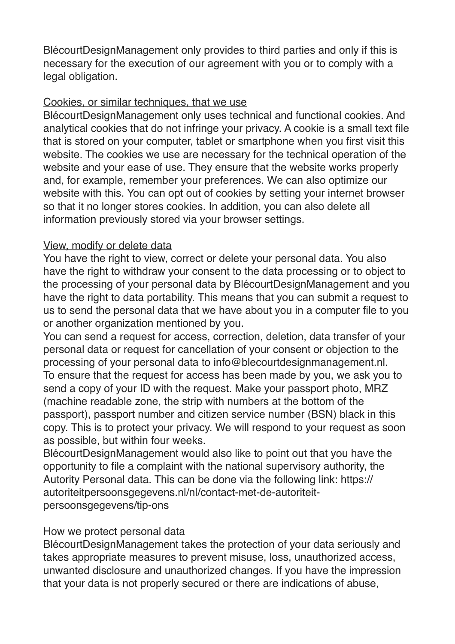BlécourtDesignManagement only provides to third parties and only if this is necessary for the execution of our agreement with you or to comply with a legal obligation.

### Cookies, or similar techniques, that we use

BlécourtDesignManagement only uses technical and functional cookies. And analytical cookies that do not infringe your privacy. A cookie is a small text file that is stored on your computer, tablet or smartphone when you first visit this website. The cookies we use are necessary for the technical operation of the website and your ease of use. They ensure that the website works properly and, for example, remember your preferences. We can also optimize our website with this. You can opt out of cookies by setting your internet browser so that it no longer stores cookies. In addition, you can also delete all information previously stored via your browser settings.

# View, modify or delete data

You have the right to view, correct or delete your personal data. You also have the right to withdraw your consent to the data processing or to object to the processing of your personal data by BlécourtDesignManagement and you have the right to data portability. This means that you can submit a request to us to send the personal data that we have about you in a computer file to you or another organization mentioned by you.

You can send a request for access, correction, deletion, data transfer of your personal data or request for cancellation of your consent or objection to the processing of your personal data to info@blecourtdesignmanagement.nl. To ensure that the request for access has been made by you, we ask you to send a copy of your ID with the request. Make your passport photo, MRZ (machine readable zone, the strip with numbers at the bottom of the passport), passport number and citizen service number (BSN) black in this copy. This is to protect your privacy. We will respond to your request as soon as possible, but within four weeks.

BlécourtDesignManagement would also like to point out that you have the opportunity to file a complaint with the national supervisory authority, the Autority Personal data. This can be done via the following link: https:// autoriteitpersoonsgegevens.nl/nl/contact-met-de-autoriteitpersoonsgegevens/tip-ons

# How we protect personal data

BlécourtDesignManagement takes the protection of your data seriously and takes appropriate measures to prevent misuse, loss, unauthorized access, unwanted disclosure and unauthorized changes. If you have the impression that your data is not properly secured or there are indications of abuse,